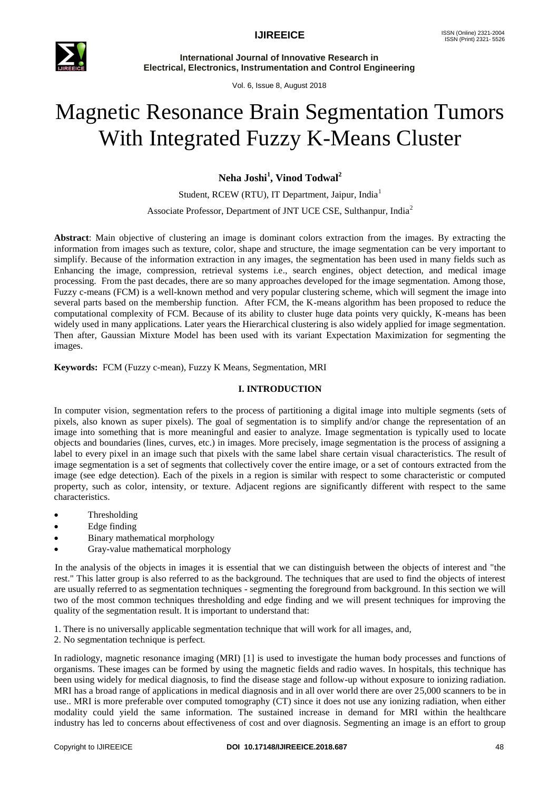

Vol. 6, Issue 8, August 2018

# Magnetic Resonance Brain Segmentation Tumors With Integrated Fuzzy K-Means Cluster

**Neha Joshi<sup>1</sup> , Vinod Todwal<sup>2</sup>**

Student, RCEW (RTU), IT Department, Jaipur, India<sup>1</sup>

Associate Professor, Department of JNT UCE CSE, Sulthanpur, India<sup>2</sup>

**Abstract**: Main objective of clustering an image is dominant colors extraction from the images. By extracting the information from images such as texture, color, shape and structure, the image segmentation can be very important to simplify. Because of the information extraction in any images, the segmentation has been used in many fields such as Enhancing the image, compression, retrieval systems i.e., search engines, object detection, and medical image processing. From the past decades, there are so many approaches developed for the image segmentation. Among those, Fuzzy c-means (FCM) is a well-known method and very popular clustering scheme, which will segment the image into several parts based on the membership function. After FCM, the K-means algorithm has been proposed to reduce the computational complexity of FCM. Because of its ability to cluster huge data points very quickly, K-means has been widely used in many applications. Later years the Hierarchical clustering is also widely applied for image segmentation. Then after, Gaussian Mixture Model has been used with its variant Expectation Maximization for segmenting the images.

**Keywords:** FCM (Fuzzy c-mean), Fuzzy K Means, Segmentation, MRI

# **I. INTRODUCTION**

In [computer vision,](http://en.wikipedia.org/wiki/Computer_vision) segmentation refers to the process of partitioning a [digital image](http://en.wikipedia.org/wiki/Digital_image) into multiple [segments](http://en.wikipedia.org/wiki/Image_segment) [\(sets](http://en.wikipedia.org/wiki/Set_%28mathematics%29) of [pixels,](http://en.wikipedia.org/wiki/Pixel) also known as super pixels). The goal of segmentation is to simplify and/or change the representation of an image into something that is more meaningful and easier to analyze. Image segmentation is typically used to locate objects and boundaries (lines, curves, etc.) in images. More precisely, image segmentation is the process of assigning a label to every pixel in an image such that pixels with the same label share certain visual characteristics. The result of image segmentation is a set of segments that collectively cover the entire image, or a set of [contours](http://en.wikipedia.org/wiki/Contour_line) extracted from the image (see [edge detection\)](http://en.wikipedia.org/wiki/Edge_detection). Each of the pixels in a region is similar with respect to some characteristic or computed property, such as [color,](http://en.wikipedia.org/wiki/Color) [intensity,](http://en.wikipedia.org/wiki/Luminous_intensity) or [texture.](http://en.wikipedia.org/wiki/Image_texture) [Adjacent](http://en.wikipedia.org/wiki/Adjacent) regions are significantly different with respect to the same characteristics.

- [Thresholding](http://www.qi.tnw.tudelft.nl/Courses/FIP/noframes/fip-Segmenta.html#Heading118)
- [Edge finding](http://www.qi.tnw.tudelft.nl/Courses/FIP/noframes/fip-Segmenta.html#Heading119)
- [Binary mathematical morphology](http://www.qi.tnw.tudelft.nl/Courses/FIP/noframes/fip-Segmenta.html#Heading120)
- [Gray-value mathematical morphology](http://www.qi.tnw.tudelft.nl/Courses/FIP/noframes/fip-Segmenta.html#Heading121)

In the analysis of the objects in images it is essential that we can distinguish between the objects of interest and "the rest." This latter group is also referred to as the background. The techniques that are used to find the objects of interest are usually referred to as segmentation techniques - segmenting the foreground from background. In this section we will two of the most common techniques thresholding and edge finding and we will present techniques for improving the quality of the segmentation result. It is important to understand that:

1. There is no universally applicable segmentation technique that will work for all images, and,

2. No segmentation technique is perfect.

In radiology, magnetic resonance imaging (MRI) [1] is used to investigate the human body processes and functions of organisms. These images can be formed by using the magnetic fields and radio waves. In hospitals, this technique has been using widely for medical diagnosis, to find the disease stage and follow-up without exposure to ionizing radiation. MRI has a broad range of applications in medical diagnosis and in all over world there are over 25,000 scanners to be in use.. MRI is more preferable over computed tomography (CT) since it does not use any ionizing radiation, when either modality could yield the same information. The sustained increase in demand for MRI within the healthcare industry has led to concerns about effectiveness of cost and over diagnosis. Segmenting an image is an effort to group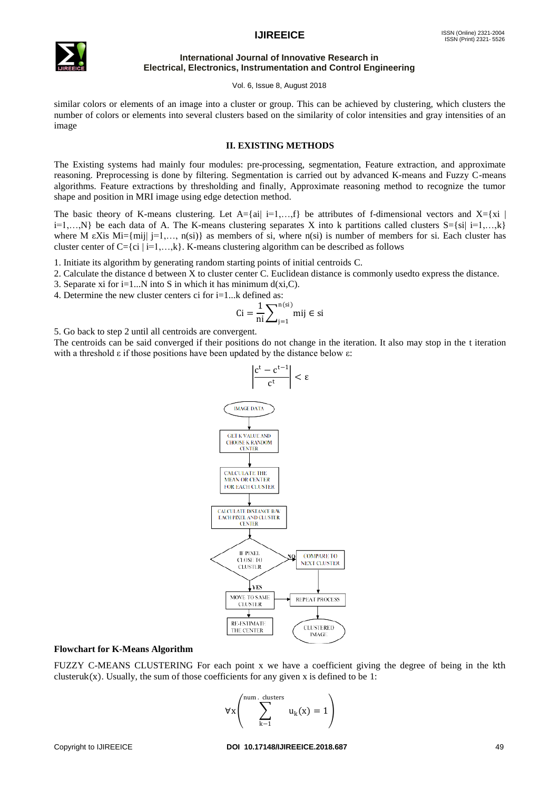

Vol. 6, Issue 8, August 2018

similar colors or elements of an image into a cluster or group. This can be achieved by clustering, which clusters the number of colors or elements into several clusters based on the similarity of color intensities and gray intensities of an image

# **II. EXISTING METHODS**

The Existing systems had mainly four modules: pre-processing, segmentation, Feature extraction, and approximate reasoning. Preprocessing is done by filtering. Segmentation is carried out by advanced K-means and Fuzzy C-means algorithms. Feature extractions by thresholding and finally, Approximate reasoning method to recognize the tumor shape and position in MRI image using edge detection method.

The basic theory of K-means clustering. Let  $A = \{ai| i=1,...,f\}$  be attributes of f-dimensional vectors and  $X = \{xi \}$  $i=1,...,N$ } be each data of A. The K-means clustering separates X into k partitions called clusters  $S=[s_i]$   $i=1,...,k$ } where M εXis Mi={mij| j=1,..., n(si)} as members of si, where n(si) is number of members for si. Each cluster has cluster center of  $C = \{c \mid i=1,...,k\}$ . K-means clustering algorithm can be described as follows

1. Initiate its algorithm by generating random starting points of initial centroids C.

- 2. Calculate the distance d between X to cluster center C. Euclidean distance is commonly usedto express the distance.
- 3. Separate xi for  $i=1...N$  into S in which it has minimum  $d(x_i, C)$ .
- 4. Determine the new cluster centers ci for  $i=1...k$  defined as:

$$
Ci = \frac{1}{ni} \sum_{j=1}^{n(si)} mij \in si
$$

5. Go back to step 2 until all centroids are convergent.

The centroids can be said converged if their positions do not change in the iteration. It also may stop in the t iteration with a threshold  $\varepsilon$  if those positions have been updated by the distance below  $\varepsilon$ :



### **Flowchart for K-Means Algorithm**

FUZZY C-MEANS CLUSTERING For each point x we have a coefficient giving the degree of being in the kth clusteruk(x). Usually, the sum of those coefficients for any given x is defined to be 1:

$$
\forall x \Bigg(\sum_{k-1}^{num. clusters} u_k(x) = 1\Bigg)
$$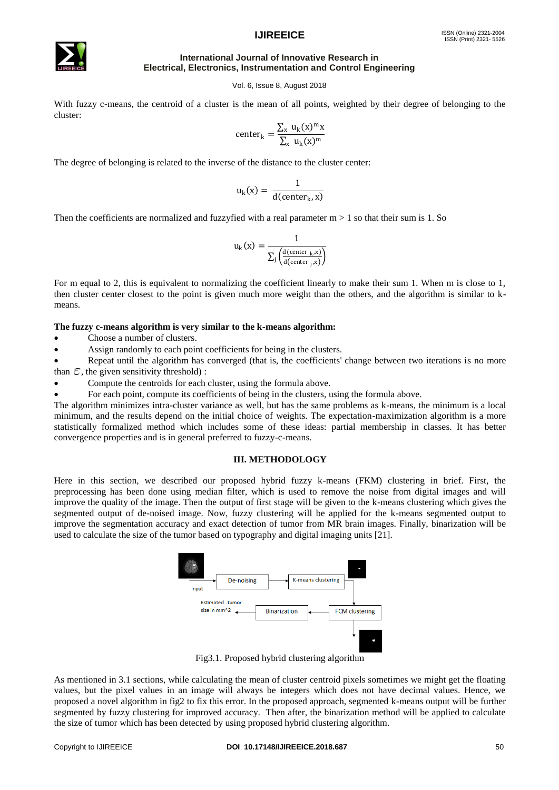



Vol. 6, Issue 8, August 2018

With fuzzy c-means, the centroid of a cluster is the mean of all points, weighted by their degree of belonging to the cluster:

$$
center_{k} = \frac{\sum_{x} u_{k}(x)^{m}x}{\sum_{x} u_{k}(x)^{m}}
$$

The degree of belonging is related to the inverse of the distance to the cluster center:

$$
u_k(x) = \frac{1}{d(\text{center}_k, x)}
$$

Then the coefficients are normalized and fuzzyfied with a real parameter  $m > 1$  so that their sum is 1. So

$$
u_{k}(x) = \frac{1}{\sum_{j} \left( \frac{d(\text{center}_{k},x)}{d(\text{center}_{j},x)} \right)}
$$

For m equal to 2, this is equivalent to normalizing the coefficient linearly to make their sum 1. When m is close to 1, then cluster center closest to the point is given much more weight than the others, and the algorithm is similar to kmeans.

### **The fuzzy c-means algorithm is very similar to the k-means algorithm:**

- [Choose a number of clusters.](http://en.wikipedia.org/wiki/Determining_the_number_of_clusters_in_a_data_set)
- Assign randomly to each point coefficients for being in the clusters.
- Repeat until the algorithm has converged (that is, the coefficients' change between two iterations is no more than  $\epsilon$ , the given sensitivity threshold) :
- Compute the centroids for each cluster, using the formula above.
- For each point, compute its coefficients of being in the clusters, using the formula above.

The algorithm minimizes intra-cluster variance as well, but has the same problems as k-means, the minimum is a local minimum, and the results depend on the initial choice of weights. The expectation-maximization algorithm is a more statistically formalized method which includes some of these ideas: partial membership in classes. It has better convergence properties and is in general preferred to fuzzy-c-means.

### **III. METHODOLOGY**

Here in this section, we described our proposed hybrid fuzzy k-means (FKM) clustering in brief. First, the preprocessing has been done using median filter, which is used to remove the noise from digital images and will improve the quality of the image. Then the output of first stage will be given to the k-means clustering which gives the segmented output of de-noised image. Now, fuzzy clustering will be applied for the k-means segmented output to improve the segmentation accuracy and exact detection of tumor from MR brain images. Finally, binarization will be used to calculate the size of the tumor based on typography and digital imaging units [21].



Fig3.1. Proposed hybrid clustering algorithm

As mentioned in 3.1 sections, while calculating the mean of cluster centroid pixels sometimes we might get the floating values, but the pixel values in an image will always be integers which does not have decimal values. Hence, we proposed a novel algorithm in fig2 to fix this error. In the proposed approach, segmented k-means output will be further segmented by fuzzy clustering for improved accuracy. Then after, the binarization method will be applied to calculate the size of tumor which has been detected by using proposed hybrid clustering algorithm.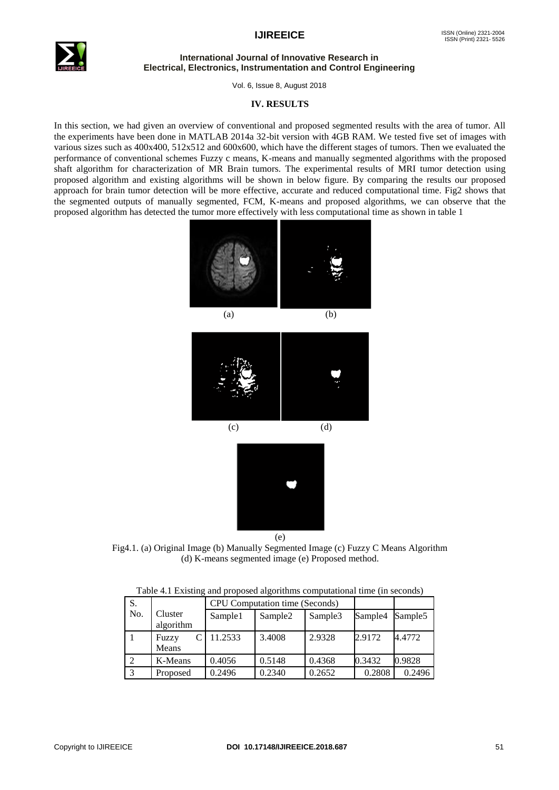

Vol. 6, Issue 8, August 2018

# **IV. RESULTS**

In this section, we had given an overview of conventional and proposed segmented results with the area of tumor. All the experiments have been done in MATLAB 2014a 32-bit version with 4GB RAM. We tested five set of images with various sizes such as 400x400, 512x512 and 600x600, which have the different stages of tumors. Then we evaluated the performance of conventional schemes Fuzzy c means, K-means and manually segmented algorithms with the proposed shaft algorithm for characterization of MR Brain tumors. The experimental results of MRI tumor detection using proposed algorithm and existing algorithms will be shown in below figure. By comparing the results our proposed approach for brain tumor detection will be more effective, accurate and reduced computational time. Fig2 shows that the segmented outputs of manually segmented, FCM, K-means and proposed algorithms, we can observe that the proposed algorithm has detected the tumor more effectively with less computational time as shown in table 1







(e)

Fig4.1. (a) Original Image (b) Manually Segmented Image (c) Fuzzy C Means Algorithm (d) K-means segmented image (e) Proposed method.

| Table 4.1 Existing and proposed algorithms computational time (in seconds) |  |  |  |
|----------------------------------------------------------------------------|--|--|--|
|                                                                            |  |  |  |
|                                                                            |  |  |  |

| S.             |                      | CPU Computation time (Seconds) |                     |                     |         |                     |
|----------------|----------------------|--------------------------------|---------------------|---------------------|---------|---------------------|
| No.            | Cluster<br>algorithm | Sample1                        | Sample <sub>2</sub> | Sample <sub>3</sub> | Sample4 | Sample <sub>5</sub> |
|                | Fuzzy<br>Means       | 11.2533                        | 3.4008              | 2.9328              | 2.9172  | 4.4772              |
| $\overline{c}$ | K-Means              | 0.4056                         | 0.5148              | 0.4368              | 0.3432  | 0.9828              |
| 3              | Proposed             | 0.2496                         | 0.2340              | 0.2652              | 0.2808  | 0.2496              |